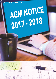# AGM NOTICE 2017 - 2018

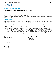

# **CHOICE INTERNATIONAL LIMITED**

CHOICE HOUSE, SHREE SHAKAMBHARI CORPORATE PARK, PLOT NO 156-158, J. B. NAGAR, ANDHERI (EAST), MUMBAI – 400099 Tel No: +91-22-6707-9999; Fax: +91-22-6707-9959 Email Id: info@choiceindia.com; CIN No: L67190MH1993PLC071117

Notice is hereby given that 25th Annual General Meeting (AGM) of the members of Choice International Limited will be held on Thursday, September 27, 2018 at 11.00 A.M. at Hotel Radisson, X -22 MIDC Central Park, Hanuman Nagar , Andheri ( East), Mumbai - 400093 to transact the following business:

# **ORDINARY BUSINESS**

- 1. To consider and adopt the audited financial statements (including the consolidated financial statements) of the Company for the financial year ended March 31, 2018 and the reports of the Board of Directors and Auditors thereon.
- 2. To appoint a Director in place of Mrs. Hemlata Poddar (DIN No: 02931322), who retires by rotation and, being eligible, offers herself for reappointment.
- 3. To Consider and, if thought fit, to pass with or without modification(s), the following resolution as an Ordinary Resolution:

"RESOLVED THAT pursuant to the provisions of Section 139, 142 and other applicable provisions, if any, of the Companies Act, 2013 and the Companies (Audit and Auditors) Rules, 2014 (including any statutory modification(s) or re-enactment thereof, for the time being in force), the Company hereby ratifies the appointment of M/s. Deloitte Haskins & Sells LLP, Chartered Accountants, Mumbai (Registration No.: 117366W/W 100018) as the Statutory Auditor of the Company, to hold office until the conclusion of the 29th Annual General Meeting of the company to be held in the year 2022 at such remuneration plus taxes as applicable and reimbursement of out-of pocket expenses in connection with the audit as the Board of Directors may fix in this behalf."

Date: August 09, 2018

Place: Mumbai By Order of the Board of Directors<br>Date: August 09.2018 (Karishma Shah) Company Secretary

Registered Office:

Choice House, Shree Shakambhari Corporate Park, Plot No,. 156-158, J.B. Nagar, Andheri (East), Mumbai – 400 099 Email Id: info@choiceindia.com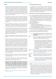# **NOTES**

- 1. A member entitled to attend and vote at the meeting is entitled to appoint a proxy or proxies to attend and vote instead of himself and proxy need not be a member of the company. A person can act as proxy on behalf of members not exceeding 50 (fifty) and holding in the aggregate not more than 10 (ten) percent of the total share capital of the company carrying voting rights. A member holding more than ten percent of the total share capital of the company carrying voting rights may appoint a single person as proxy and such person shall not act as a proxy for any other person or shareholder.
- 2. The instrument of proxy in order to be effective, should be deposited at the registered office of the company, duly completed and signed, not less than Forty Eight hours before the commencement of the meeting. A proxy form is sent herewith. Proxies submitted on behalf of the companies, societies etc. Must be supported by an appropriate resolution/authority, as applicable.
- 3. Corporate Members intending to send their authorized representative to attend the Meeting are requested to send a certified true copy of the Board Resolution authorizing their representative to attend and vote on their behalf at the meeting.
- 4. The Explanatory Statement setting out the material facts pursuant to Section 102 of the Companies Act, 2013 (" the Act"), concerning the Special Business in the Notice is annexed hereto and forms part of the Notice. The Profile of the Directors seeking reappointment, as required in terms of Regulation 36(3) of the SEBI (Listing Obligations and Disclosure Requirements) Regulations, 2015 is given below.
- 5. Members are requested to bring the Attendance Slip sent herewith duly filled for attending the Meeting along with identity Proof.
- 6. In terms of Section 101 and 136 of the Companies Act, 2013 read together with the Rules the Copy of the Annual Report comprising of Financial Statements, Board's Report etc. and the Notice are being sent by electronic mode, to those members who have registered their email ids with their respective depository participants or with the Registrar and Share Transfer Agents of the Company, unless any member has requested for a physical copy of the Annual Report , you may send your request to info@choiceindia.com mentioning your Folio/ DP & Client ID .
- 7. All members are requested to intimate changes, if any, in their registered address, immediately to the Registrar & Transfer Agents, Sharex Dynamic( India) Private Limited or to their depository participants in case shares are held in depository form, so as to enable us to dispatch the future communications at the correct addresses.
- 8. All documents referred to in the notice are open for inspection at the registered office of companies during the working days and office working hours.
- 9. The Register of Members and Share Transfer Books of the Company shall remain closed from September 21, 2018 to September 27, 2018 (both days inclusive).
- 10. To support the 'Green Initiative', the Members who have not registered their e-mail addresses are hereby requested to register the same with Registrars/ Depositories 'and to enable us to send the communications/ informations/ Annual Reports to the shareholders thus making the process much faster. In order to receive copies of Notice of Annual General Meeting and other communication through e-mail, Members are requested to register their e-mail addresses with the Company by sending an e-mail to info@choiceindia.com.
- 11. Members may note that the Company' website is www.choiceindia.com

### 12. Voting through electronic means:

 In compliance with the provisions of Section 108 of the Companies Act, 2013 and Rule 20 of the Companies (Management and Administration) Rules, 2014, the Company is pleased to provide members facility to exercise their right to vote at the General Meeting by electronic means and the business may be transacted through e-Voting services provided by Central Depository Services (India) Limited (CDSL):

### The instructions for members for voting electronically are as under:-

- (I) The voting period begins on September 24, 2018 at 9.00 am and ends on September 26, 2018 at 6.00 pm. During this period shareholders' of the Company, holding shares either in physical form or in dematerialized form, as on the cut-off date of September 20, 2018, may cast their vote electronically. The evoting module shall be disabled by CDSL for voting thereafter.
- (ii) The Shareholders should log on to the e-voting website www.evotingindia.com
- (iii) Click on "Shareholders" tab.
- (iv) Now Enter your User ID
	- a. For CDSL: 16 digits beneficiary ID,
	- b. For NSDL: 8 Character DP ID followed by 8 Digits Client ID,
	- c. Members holding shares in Physical Form should enter Folio Number registered with the Company.
- (v) Next enter the Image Verification as displayed and Click on Login.
- (vi) If you are holding shares in demat form and had logged on to www.evotingindia.com and voted on an earlier voting of any company, then your existing password is to be used.
- (vii) If you are a first time user follow the steps given below:

|                                        | For Members holding shares in Demat Form and<br><b>Physical Form</b>                                                                                                                                                                                                                                                                                                                                                                                                                             |  |
|----------------------------------------|--------------------------------------------------------------------------------------------------------------------------------------------------------------------------------------------------------------------------------------------------------------------------------------------------------------------------------------------------------------------------------------------------------------------------------------------------------------------------------------------------|--|
| PAN*                                   | Enter your 10 digit alpha-numeric *PAN issued by<br>Income Tax Department (Applicable for both demat<br>shareholders as well as physical shareholders)                                                                                                                                                                                                                                                                                                                                           |  |
|                                        | Members who have not updated their PAN with the<br>Company/Depository Participant are requested to<br>use the first two letters of their name and the 8 digits<br>of the sequence number in the PAN field<br>In case the sequence number is less than 8 digits<br>enter the applicable number of 0's before the<br>number after the first two character of the name in<br>Capital letters. Eq. If your name is Ramesh Kumar<br>with sequence number 1 then enter RA00000001 in<br>the PAN field. |  |
| DOB#                                   | Enter the Date of Birth as recorded in your demat<br>account or in the company records for the said demat<br>account or folio in dd/mm/yyyy format.                                                                                                                                                                                                                                                                                                                                              |  |
| Dividend<br>Bank<br>Details<br>OR Date | Enter the Dividend Bank Details or Date of Birth ( in<br>dd/mm/yyyy format) as recorded in your demat<br>account or in the company records in order to login.                                                                                                                                                                                                                                                                                                                                    |  |
|                                        | If both the details are not recorded with the<br>depository or company please enter the member<br>id/folio number in the Dividend Bank details field<br>as mentioned in instruction (iv).                                                                                                                                                                                                                                                                                                        |  |

- (viii) After entering these details appropriately, click on "SUBMIT" tab.
- (ix) Members holding shares in physical form will then reach directly the Company selection screen. However, members holding shares in demat form will now reach 'Password Creation' menu wherein they are required to mandatorily enter their login password in the new password field. Kindly note that this password is to be also used by the demat holders for voting for resolutions of any other company on which they are eligible to vote, provided that company opts for e-voting through CDSL platform. It is strongly recommended not to share your password with any other person and take utmost care to keep your password confidential.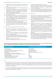- (x) For Members holding shares in physical form, the details can be used only for e-voting on the resolutions contained in this Notice.
- (xi) Click on the EVSN for the relevant Choice International Limited on which you choose to vote.
- (xii) On the voting page, you will see "RESOLUTION DESCRIPTION" and against the same the option "YES/NO" for voting. Select the option YES or NO as desired. The option YES implies that you assent to the Resolution and option NO implies that you dissent to the Resolution.
- (xiii) Click on the "RESOLUTIONS FILE LINK" if you wish to view the entire Resolution details.
- (xiv) After selecting the resolution you have decided to vote on, click on "SUBMIT". A confirmation box will be displayed. If you wish to confirm your vote, click on "OK", else to change your vote, click on "CANCEL" and accordingly modify your vote.
- (xv) Once you "CONFIRM" your vote on the resolution, you will not be allowed to modify your vote.
- (xvi) You can also take out print of the voting done by you by clicking on "Click here to print" option on the Voting page.
- (xvii) If Demat account holder has forgotten the changed password then Enter the User ID and the image verification code and click on Forgot Password & enter the details as prompted by the system.

(xviii) Note for Non- Individual Shareholders and Custodians

- Non-Individual shareholders (i.e. other than Individuals, HUF, NRI etc.) and custodians are required to log on to https://www.evotingindia.com and register themselves as Corporates.
- A scanned copy of the Registration Form bearing the stamp and sign of the entity should be emailed to helpdesk.evoting@cdslindia.com.
- After receiving the login details a compliance user should be created using the admin login and password. The Compliance user would be able to link the account(s) for which they wish to vote on.
- The list of accounts should be mailed to helpdesk.evoting@cdslindia.com and on approval of the

accounts they would be able to cast their vote.

- A scanned copy of the Board Resolution and Power of Attorney (POA) which they have issued in favour of the Custodian, if any, should be uploaded in PDF format in the system for the scrutinizer to verify the same.
- (xix) In case you have any queries or issues regarding e-voting, you may refer the Frequently Asked Questions ("FAQs") and evoting manual available at www.evotingindia.com, under help section or write an email to helpdesk.evoting@cdslindia.com .

### Other Instructions:

- (i) Once the vote on a resolution is cast by the member, the member shall not be allowed to change it subsequently.
- (ii) The voting rights of members shall be in proportion to their shares of the paid up equity share capital of the Company as on the cut-off date of September 20, 2018
- (iii) M/S R. M. Mimani & Associates LLP, Company, Practicing Company Secretaries, has been appointed as the Scrutinizer to scrutinize the e-voting process in a fair and transparent manner.
- (iv) The Scrutinizer shall within a period not exceeding three (3) working days from the conclusion of the e-voting period unblock the votes in the presence of at least two (2) witnesses not in the employment of the Company and make a Scrutinizer's Report of the votes cast in favour or against, if any, and submit forthwith to the Chairman of the Company.
- (v) The Results shall be declared on or after the AGM of the Company. The Results declared alongwith the Scrutinizer's Report shall be placed on the Company's website www.choiceindia.com and communicated to the stock exchanges.
- (I) Members who do not have access to e-voting facility may send duly completed Ballot Form enclosed with the Notice so as to reach the Scrutinizer appointed by the Board of Directors of the Company, M/S R.M. Mimani &Associates LLP, Practising Company Secretary, at the Registered Office of the Company not later than September 26, 2018 (6.00 p.m.). Ballot Form received after this date will be treated as invalid.

Details of Directors seeking appointment/ re appointment at the Annual General Meeting scheduled to be held on September 27, 2018 (Pursuant to Regulation 36(3) of SEBI (Listing Obligation and Disclosure Requirements), Regulation 2015.

| Date of Birth Age<br>March 08, 1982<br>Date of Appointment<br>January 30, 2010<br>Relationship with Directors & Key Managerial Personnel<br>Non-Executive Director<br>Expertise in specific Functional area<br>Management Practices<br>Post Graduate degree in Political Science<br>Qualification<br>Board Membership of other Listed Companies<br>NIL<br>Chairman/Member of the Committee of the Board of Director<br>Yes<br>a) Audit Committee<br>NIL | Name of the Director | Hemlata Kamal Poddar (Reappointment) |
|---------------------------------------------------------------------------------------------------------------------------------------------------------------------------------------------------------------------------------------------------------------------------------------------------------------------------------------------------------------------------------------------------------------------------------------------------------|----------------------|--------------------------------------|
| b)Nomination & Remuneration Committee<br>Member<br>c) Stakeholder Relationship Committee<br>Chairman<br>No. of Shares held in the Company<br>8,50,000                                                                                                                                                                                                                                                                                                   |                      |                                      |

### Note:

- 1. Detailed profile of the above Director is given as part of the Annual Report. The Directorship, Committee Memberships and Chairmanships does not include positions in foreign companies, unlisted companies and private companies, position as an advisory board member and position in companies under section 8 of the Companies Act, 2013. Information pertaining to remuneration paid to the Director who is being re-appointed and number of Board Meetings attended by them during the year 2017- 18 are provided in Corporate Governance Report.
- 2. The proposal for appointment/ re-appointment and revision in terms of remuneration of Directors has been approved by the Board pursuant to the recommendation of the Nomination & Remuneration Committee considering their skills, experience and knowledge and positive outcome of performance evaluation.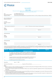

# **Form No. MGT-11**

**PROXY FORM**

[Pursuant to section 105(6) of the Companies Act, 2013 and rule 19(3) of the Companies (Management and Administration) Rules, 2014]

| <b>CIN</b><br>Name of the Company<br>Registered Office | L67190MH1993PLC071117<br>Choice International Limited<br>Choice House, Shree Shakambhari Corporate Park, Plot No. 156-158, J.B. Nagar, Andheri (E), Mumbai - 400 099                                        |  |  |
|--------------------------------------------------------|-------------------------------------------------------------------------------------------------------------------------------------------------------------------------------------------------------------|--|--|
| Name of the Member(s)<br>Registered Address            | <u> 1999 - Johann Barn, fransk politik (d. 1989)</u>                                                                                                                                                        |  |  |
| E-mail ID<br>Folio No./Client ID<br>DPID:              |                                                                                                                                                                                                             |  |  |
|                                                        |                                                                                                                                                                                                             |  |  |
| Name<br>Address<br>E-mail ID                           | <u> 1989 - Johann Stoff, deutscher Stoff, der Stoff, der Stoff, der Stoff, der Stoff, der Stoff, der Stoff, der S</u><br>Signature Signature<br><u> 1980 - Johann Stoff, amerikansk politiker (d. 1980)</u> |  |  |
| OR FAILING HIM;                                        |                                                                                                                                                                                                             |  |  |
| Name<br>Address<br>E-mail ID                           | <u> 1989 - Johann John Stone, markin film yn y sefydlu yn y sydd y gynnwys y gynnwys y gynnwys y gynnwys y gynnwy</u>                                                                                       |  |  |
| OR FAILING HIM;                                        |                                                                                                                                                                                                             |  |  |

| Name                    |                                      |  |
|-------------------------|--------------------------------------|--|
| $\sim$ $\sim$<br>ldracc |                                      |  |
| mail II                 | <b>.</b><br>$\overline{\phantom{a}}$ |  |
|                         |                                      |  |

as my/our proxy to attend and vote (on a poll) for me/us and on my/our behalf at the 25th Annual General Meeting of the company, to the held on Thursday, September 27, 2018 at 11:00 A.M. at Hotel Radisson, X-22, Central Park, Hanuman Nagar, Andheri (East), Mumbai – 400093 and at any adjournment thereof in respect of such resolutions as are indicated herein:

| Item no.               | <b>Resolution</b>                                                                                                                                                                                                                                                                                                                                                                                                                                                                                                                                                                                      | For | <b>Against</b> |
|------------------------|--------------------------------------------------------------------------------------------------------------------------------------------------------------------------------------------------------------------------------------------------------------------------------------------------------------------------------------------------------------------------------------------------------------------------------------------------------------------------------------------------------------------------------------------------------------------------------------------------------|-----|----------------|
|                        | <b>ORDINARY BUSINESS</b>                                                                                                                                                                                                                                                                                                                                                                                                                                                                                                                                                                               |     |                |
|                        | To consider and adopt the audited financial statements (including the<br>consolidated financial statements) of the Company for the financial year<br>ended March 31, 2018 and the reports of the Board of Directors and Auditors<br>thereon.                                                                                                                                                                                                                                                                                                                                                           |     |                |
|                        | To appoint a Director in place of Mr. Hemlata Poddar (DIN No: 02931322), who<br>retires by rotation and, being eligible, offers himself for re-appointment.                                                                                                                                                                                                                                                                                                                                                                                                                                            |     |                |
| 3                      | To ratify the appointment of statutory Auditors.                                                                                                                                                                                                                                                                                                                                                                                                                                                                                                                                                       |     |                |
| Signed this            | 2018<br>day of                                                                                                                                                                                                                                                                                                                                                                                                                                                                                                                                                                                         |     |                |
|                        | Signature of Proxy holder(s)                                                                                                                                                                                                                                                                                                                                                                                                                                                                                                                                                                           |     |                |
| Notes:<br>participant. | 1. This form of proxy in order to be effective should be duly completed and deposited at the Registered Office of the Company, not less than<br>48 hours before the commencement of the Meeting.<br>ii. The Proxy Form should be signed across the Revenue Stamp as per specimen signature(s) registered with the Company/depository<br>iii. A Proxy need not be a Member.<br>. A secondo de de desembro de la distribución de de mandistribución de la distribución de secondo de la distribución de la construída de la construída de la construída de la construída de la construída de la construí |     |                |

- iv. A person can act as proxy on behalf of members not exceeding 50 (fifty) and holding in the aggregate not more than 10 (ten) percent of the total share capital of the company carrying voting rights.
- v. A member holding more than ten percent of the total share capital of the company carrying voting rights may appoint a single person as proxy and such person shall not act as a proxy for any other person or shareholder.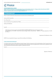

### **CHOICE INTERNATIONAL LIMITED**

Registered Office: Choice House Shree Shakambhari Corporate Park, Plot No. 156-158, J.B. Nagar, Andheri (East), Mumbai-400099 Tel No.: +91-22-6707 9999 Fax: +91-22-6707 9959, Website: www.choiceindia.com, Email ID: info@choiceindia.com CIN: L67190MH1993PLC071117

# **ATTENDANCE SLIP**

Please complete this Attendance Slip and hand it over at the entrance of the Meeting Hall.

Folio No./DP ID-Client ID No.: \_\_\_\_\_\_\_\_\_\_\_\_\_\_\_\_\_\_\_\_\_\_\_\_\_\_\_\_\_\_\_\_\_\_\_\_\_\_\_\_\_\_\_\_\_\_\_\_\_\_\_\_\_\_\_\_\_\_\_\_\_\_\_\_\_\_\_\_\_\_\_\_\_\_\_\_\_\_\_\_\_\_\_\_\_\_\_\_\_\_\_

No. of Shares held:

Name of the Member/ Proxy (IN BLOCK LETTERS):

Address of the Member:

Email ID : \_\_\_\_\_\_\_\_\_\_\_\_\_\_\_\_\_\_\_\_\_\_\_\_\_\_\_\_\_\_\_\_\_\_\_\_\_\_\_\_\_\_\_\_\_\_\_\_\_\_\_\_\_\_\_\_\_\_\_\_\_\_\_\_\_\_\_\_\_\_\_\_\_\_\_\_\_\_\_\_\_\_\_\_\_\_\_\_\_\_\_\_\_\_\_\_\_\_\_\_\_\_\_\_\_\_\_\_\_

 I/ We hereby record my/our presence at the 25th ANNUAL GENERAL MEETING of Choice International Limited At Hotel Radisson, X- 22 , MIDC , Central Park, Hanuman Nagar, Andheri ( East), Mumbai - 400093 on Thursday, September 27, 2018 at11.00 a.m.

Signature(s) of the Member or Proxy

NOTES: You are requested to bring your copy of the Annual Report to the Meeting.

## E-MAIL ID REGISTRATION REQUEST

In compliance with provisions of Rule 18(3) prescribed in Chapter 18 of the Companies Act, 2013, all the Members of the Company who have not registered their email id so far with the Company/RTA and those Members who have registered their email but wish to update their emailids, are requested to fill the below details to register or update their email-ids.

Email Id: \_\_\_\_\_\_\_\_\_\_\_\_\_\_\_\_\_\_\_\_\_\_\_\_\_\_\_\_\_\_\_\_\_\_\_\_\_\_\_\_\_\_\_\_\_\_\_\_\_\_\_\_\_\_\_\_\_\_\_\_\_\_\_\_\_\_\_\_\_\_\_\_\_\_\_\_\_\_\_\_\_\_\_\_\_\_\_\_\_\_\_\_\_\_\_\_\_\_\_\_\_\_\_\_\_\_\_\_\_\_

(Signature of Member)